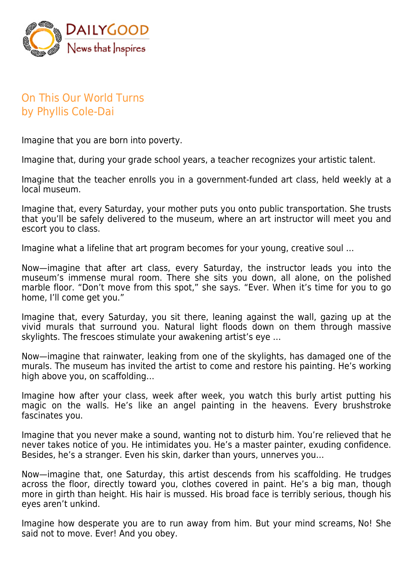

## On This Our World Turns by Phyllis Cole-Dai

Imagine that you are born into poverty.

Imagine that, during your grade school years, a teacher recognizes your artistic talent.

Imagine that the teacher enrolls you in a government-funded art class, held weekly at a local museum.

Imagine that, every Saturday, your mother puts you onto public transportation. She trusts that you'll be safely delivered to the museum, where an art instructor will meet you and escort you to class.

Imagine what a lifeline that art program becomes for your young, creative soul …

Now—imagine that after art class, every Saturday, the instructor leads you into the museum's immense mural room. There she sits you down, all alone, on the polished marble floor. "Don't move from this spot," she says. "Ever. When it's time for you to go home, I'll come get you."

Imagine that, every Saturday, you sit there, leaning against the wall, gazing up at the vivid murals that surround you. Natural light floods down on them through massive skylights. The frescoes stimulate your awakening artist's eye …

Now—imagine that rainwater, leaking from one of the skylights, has damaged one of the murals. The museum has invited the artist to come and restore his painting. He's working high above you, on scaffolding…

Imagine how after your class, week after week, you watch this burly artist putting his magic on the walls. He's like an angel painting in the heavens. Every brushstroke fascinates you.

Imagine that you never make a sound, wanting not to disturb him. You're relieved that he never takes notice of you. He intimidates you. He's a master painter, exuding confidence. Besides, he's a stranger. Even his skin, darker than yours, unnerves you…

Now—imagine that, one Saturday, this artist descends from his scaffolding. He trudges across the floor, directly toward you, clothes covered in paint. He's a big man, though more in girth than height. His hair is mussed. His broad face is terribly serious, though his eyes aren't unkind.

Imagine how desperate you are to run away from him. But your mind screams, No! She said not to move. Ever! And you obey.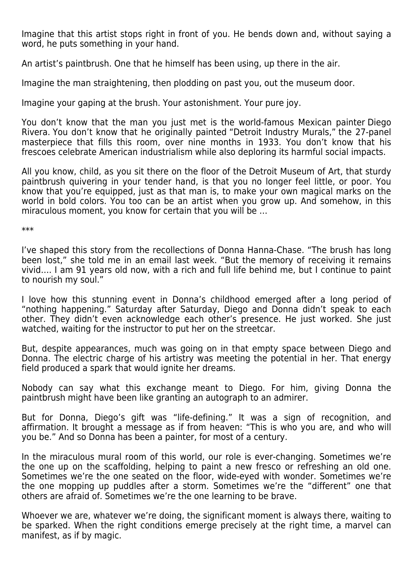Imagine that this artist stops right in front of you. He bends down and, without saying a word, he puts something in your hand.

An artist's paintbrush. One that he himself has been using, up there in the air.

Imagine the man straightening, then plodding on past you, out the museum door.

Imagine your gaping at the brush. Your astonishment. Your pure joy.

You don't know that the man you just met is the world-famous Mexican painter Diego Rivera. You don't know that he originally painted "Detroit Industry Murals," the 27-panel masterpiece that fills this room, over nine months in 1933. You don't know that his frescoes celebrate American industrialism while also deploring its harmful social impacts.

All you know, child, as you sit there on the floor of the Detroit Museum of Art, that sturdy paintbrush quivering in your tender hand, is that you no longer feel little, or poor. You know that you're equipped, just as that man is, to make your own magical marks on the world in bold colors. You too can be an artist when you grow up. And somehow, in this miraculous moment, you know for certain that you will be …

\*\*\*

I've shaped this story from the recollections of Donna Hanna-Chase. "The brush has long been lost," she told me in an email last week. "But the memory of receiving it remains vivid…. I am 91 years old now, with a rich and full life behind me, but I continue to paint to nourish my soul."

I love how this stunning event in Donna's childhood emerged after a long period of "nothing happening." Saturday after Saturday, Diego and Donna didn't speak to each other. They didn't even acknowledge each other's presence. He just worked. She just watched, waiting for the instructor to put her on the streetcar.

But, despite appearances, much was going on in that empty space between Diego and Donna. The electric charge of his artistry was meeting the potential in her. That energy field produced a spark that would ignite her dreams.

Nobody can say what this exchange meant to Diego. For him, giving Donna the paintbrush might have been like granting an autograph to an admirer.

But for Donna, Diego's gift was "life-defining." It was a sign of recognition, and affirmation. It brought a message as if from heaven: "This is who you are, and who will you be." And so Donna has been a painter, for most of a century.

In the miraculous mural room of this world, our role is ever-changing. Sometimes we're the one up on the scaffolding, helping to paint a new fresco or refreshing an old one. Sometimes we're the one seated on the floor, wide-eyed with wonder. Sometimes we're the one mopping up puddles after a storm. Sometimes we're the "different" one that others are afraid of. Sometimes we're the one learning to be brave.

Whoever we are, whatever we're doing, the significant moment is always there, waiting to be sparked. When the right conditions emerge precisely at the right time, a marvel can manifest, as if by magic.